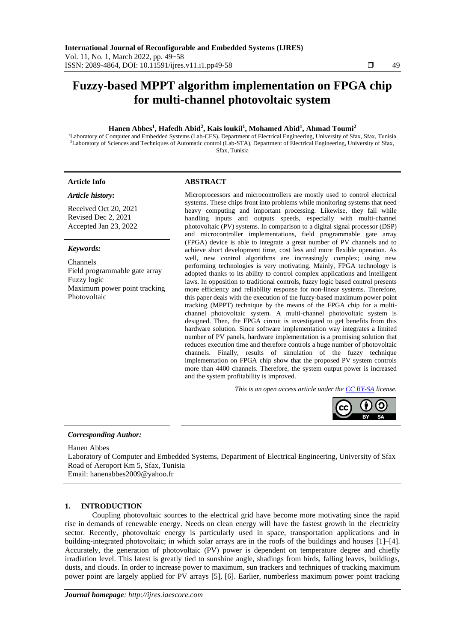# **Fuzzy-based MPPT algorithm implementation on FPGA chip for multi-channel photovoltaic system**

# **Hanen Abbes<sup>1</sup> , Hafedh Abid<sup>2</sup> , Kais loukil<sup>1</sup> , Mohamed Abid<sup>1</sup> , Ahmad Toumi<sup>2</sup>**

<sup>1</sup>Laboratory of Computer and Embedded Systems (Lab-CES), Department of Electrical Engineering, University of Sfax, Sfax, Tunisia <sup>2</sup>Laboratory of Sciences and Techniques of Automatic control (Lab-STA), Department of Electrical Engineering, University of Sfax, Sfax, Tunisia

#### *Article history:*

Received Oct 20, 2021 Revised Dec 2, 2021 Accepted Jan 23, 2022

## *Keywords:*

Channels Field programmable gate array Fuzzy logic Maximum power point tracking Photovoltaic

#### **Article Info ABSTRACT**

Microprocessors and microcontrollers are mostly used to control electrical systems. These chips front into problems while monitoring systems that need heavy computing and important processing. Likewise, they fail while handling inputs and outputs speeds, especially with multi-channel photovoltaic (PV) systems. In comparison to a digital signal processor (DSP) and microcontroller implementations, field programmable gate array (FPGA) device is able to integrate a great number of PV channels and to achieve short development time, cost less and more flexible operation. As well, new control algorithms are increasingly complex; using new performing technologies is very motivating. Mainly, FPGA technology is adopted thanks to its ability to control complex applications and intelligent laws. In opposition to traditional controls, fuzzy logic based control presents more efficiency and reliability response for non-linear systems. Therefore, this paper deals with the execution of the fuzzy-based maximum power point tracking (MPPT) technique by the means of the FPGA chip for a multichannel photovoltaic system. A multi-channel photovoltaic system is designed. Then, the FPGA circuit is investigated to get benefits from this hardware solution. Since software implementation way integrates a limited number of PV panels, hardware implementation is a promising solution that reduces execution time and therefore controls a huge number of photovoltaic channels. Finally, results of simulation of the fuzzy technique implementation on FPGA chip show that the proposed PV system controls more than 4400 channels. Therefore, the system output power is increased and the system profitability is improved.

*This is an open access article under the [CC BY-SA](https://creativecommons.org/licenses/by-sa/4.0/) license.*



#### *Corresponding Author:*

Hanen Abbes

Laboratory of Computer and Embedded Systems, Department of Electrical Engineering, University of Sfax Road of Aeroport Km 5, Sfax, Tunisia

Email: hanenabbes2009@yahoo.fr

## **1. INTRODUCTION**

Coupling photovoltaic sources to the electrical grid have become more motivating since the rapid rise in demands of renewable energy. Needs on clean energy will have the fastest growth in the electricity sector. Recently, photovoltaic energy is particularly used in space, transportation applications and in building-integrated photovoltaic; in which solar arrays are in the roofs of the buildings and houses [1]–[4]. Accurately, the generation of photovoltaic (PV) power is dependent on temperature degree and chiefly irradiation level. This latest is greatly tied to sunshine angle, shadings from birds, falling leaves, buildings, dusts, and clouds. In order to increase power to maximum, sun trackers and techniques of tracking maximum power point are largely applied for PV arrays [5], [6]. Earlier, numberless maximum power point tracking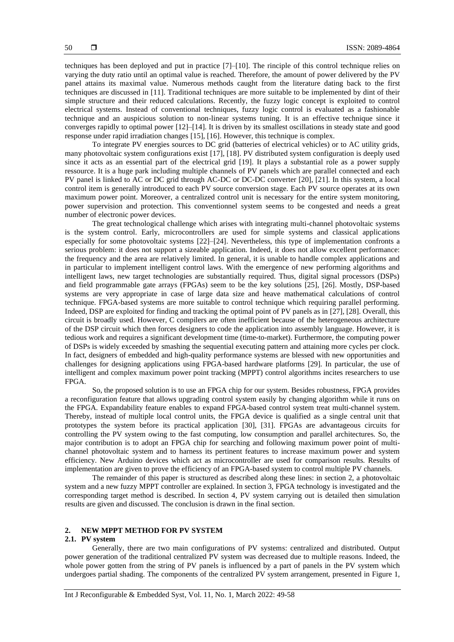techniques has been deployed and put in practice [7]–[10]. The rinciple of this control technique relies on varying the duty ratio until an optimal value is reached. Therefore, the amount of power delivered by the PV panel attains its maximal value. Numerous methods caught from the literature dating back to the first techniques are discussed in [11]. Traditional techniques are more suitable to be implemented by dint of their simple structure and their reduced calculations. Recently, the fuzzy logic concept is exploited to control electrical systems. Instead of conventional techniques, fuzzy logic control is evaluated as a fashionable technique and an auspicious solution to non-linear systems tuning. It is an effective technique since it converges rapidly to optimal power [12]–[14]. It is driven by its smallest oscillations in steady state and good response under rapid irradiation changes [15], [16]. However, this technique is complex.

To integrate PV energies sources to DC grid (batteries of electrical vehicles) or to AC utility grids, many photovoltaic system configurations exist [17], [18]. PV distributed system configuration is deeply used since it acts as an essential part of the electrical grid [19]. It plays a substantial role as a power supply ressource. It is a huge park including multiple channels of PV panels which are parallel connected and each PV panel is linked to AC or DC grid through AC-DC or DC-DC converter [20], [21]. In this system, a local control item is generally introduced to each PV source conversion stage. Each PV source operates at its own maximum power point. Moreover, a centralized control unit is necessary for the entire system monitoring, power supervision and protection. This conventionnel system seems to be congested and needs a great number of electronic power devices.

The great technological challenge which arises with integrating multi-channel photovoltaic systems is the system control. Early, microcontrollers are used for simple systems and classical applications especially for some photovoltaic systems [22]–[24]. Nevertheless, this type of implementation confronts a serious problem: it does not support a sizeable application. Indeed, it does not allow excellent performance: the frequency and the area are relatively limited. In general, it is unable to handle complex applications and in particular to implement intelligent control laws. With the emergence of new performing algorithms and intelligent laws, new target technologies are substantially required. Thus, digital signal processors (DSPs) and field programmable gate arrays (FPGAs) seem to be the key solutions [25], [26]. Mostly, DSP-based systems are very appropriate in case of large data size and heave mathematical calculations of control technique. FPGA-based systems are more suitable to control technique which requiring parallel performing. Indeed, DSP are exploited for finding and tracking the optimal point of PV panels as in [27], [28]. Overall, this circuit is broadly used. However, C compilers are often inefficient because of the heterogeneous architecture of the DSP circuit which then forces designers to code the application into assembly language. However, it is tedious work and requires a significant development time (time-to-market). Furthermore, the computing power of DSPs is widely exceeded by smashing the sequential executing pattern and attaining more cycles per clock. In fact, designers of embedded and high-quality performance systems are blessed with new opportunities and challenges for designing applications using FPGA-based hardware platforms [29]. In particular, the use of intelligent and complex maximum power point tracking (MPPT) control algorithms incites researchers to use FPGA.

So, the proposed solution is to use an FPGA chip for our system. Besides robustness, FPGA provides a reconfiguration feature that allows upgrading control system easily by changing algorithm while it runs on the FPGA. Expandability feature enables to expand FPGA-based control system treat multi-channel system. Thereby, instead of multiple local control units, the FPGA device is qualified as a single central unit that prototypes the system before its practical application [30], [31]. FPGAs are advantageous circuits for controlling the PV system owing to the fast computing, low consumption and parallel architectures. So, the major contribution is to adopt an FPGA chip for searching and following maximum power point of multichannel photovoltaic system and to harness its pertinent features to increase maximum power and system efficiency. New Arduino devices which act as microcontroller are used for comparison results. Results of implementation are given to prove the efficiency of an FPGA-based system to control multiple PV channels.

The remainder of this paper is structured as described along these lines: in section 2, a photovoltaic system and a new fuzzy MPPT controller are explained. In section 3, FPGA technology is investigated and the corresponding target method is described. In section 4, PV system carrying out is detailed then simulation results are given and discussed. The conclusion is drawn in the final section.

#### **2. NEW MPPT METHOD FOR PV SYSTEM**

#### **2.1. PV system**

Generally, there are two main configurations of PV systems: centralized and distributed. Output power generation of the traditional centralized PV system was decreased due to multiple reasons. Indeed, the whole power gotten from the string of PV panels is influenced by a part of panels in the PV system which undergoes partial shading. The components of the centralized PV system arrangement, presented in Figure 1,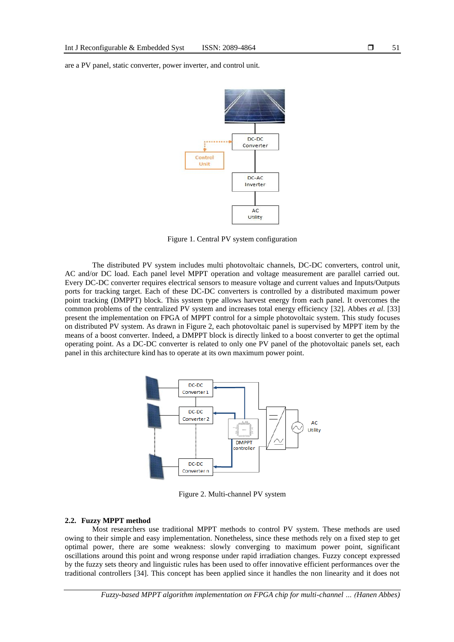are a PV panel, static converter, power inverter, and control unit.



Figure 1. Central PV system configuration

The distributed PV system includes multi photovoltaic channels, DC-DC converters, control unit, AC and/or DC load. Each panel level MPPT operation and voltage measurement are parallel carried out. Every DC-DC converter requires electrical sensors to measure voltage and current values and Inputs/Outputs ports for tracking target. Each of these DC-DC converters is controlled by a distributed maximum power point tracking (DMPPT) block. This system type allows harvest energy from each panel. It overcomes the common problems of the centralized PV system and increases total energy efficiency [32]. Abbes *et al*. [33] present the implementation on FPGA of MPPT control for a simple photovoltaic system. This study focuses on distributed PV system. As drawn in Figure 2, each photovoltaic panel is supervised by MPPT item by the means of a boost converter. Indeed, a DMPPT block is directly linked to a boost converter to get the optimal operating point. As a DC-DC converter is related to only one PV panel of the photovoltaic panels set, each panel in this architecture kind has to operate at its own maximum power point.



Figure 2. Multi-channel PV system

# **2.2. Fuzzy MPPT method**

Most researchers use traditional MPPT methods to control PV system. These methods are used owing to their simple and easy implementation. Nonetheless, since these methods rely on a fixed step to get optimal power, there are some weakness: slowly converging to maximum power point, significant oscillations around this point and wrong response under rapid irradiation changes. Fuzzy concept expressed by the fuzzy sets theory and linguistic rules has been used to offer innovative efficient performances over the traditional controllers [34]. This concept has been applied since it handles the non linearity and it does not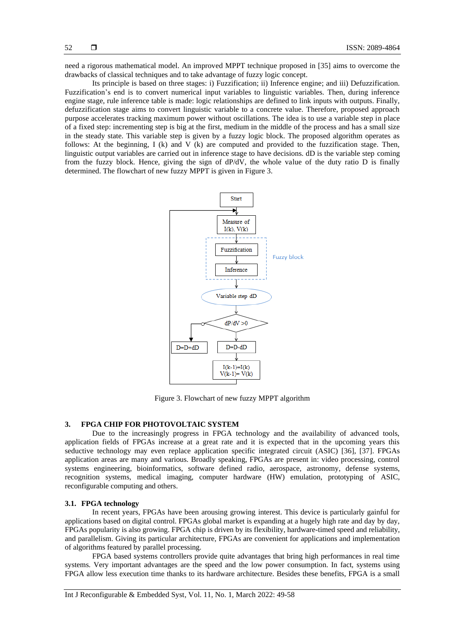need a rigorous mathematical model. An improved MPPT technique proposed in [35] aims to overcome the drawbacks of classical techniques and to take advantage of fuzzy logic concept.

Its principle is based on three stages: i) Fuzzification; ii) Inference engine; and iii) Defuzzification. Fuzzification's end is to convert numerical input variables to linguistic variables. Then, during inference engine stage, rule inference table is made: logic relationships are defined to link inputs with outputs. Finally, defuzzification stage aims to convert linguistic variable to a concrete value. Therefore, proposed approach purpose accelerates tracking maximum power without oscillations. The idea is to use a variable step in place of a fixed step: incrementing step is big at the first, medium in the middle of the process and has a small size in the steady state. This variable step is given by a fuzzy logic block. The proposed algorithm operates as follows: At the beginning, I (k) and V (k) are computed and provided to the fuzzification stage. Then, linguistic output variables are carried out in inference stage to have decisions. dD is the variable step coming from the fuzzy block. Hence, giving the sign of dP/dV, the whole value of the duty ratio D is finally determined. The flowchart of new fuzzy MPPT is given in Figure 3.



Figure 3. Flowchart of new fuzzy MPPT algorithm

# **3. FPGA CHIP FOR PHOTOVOLTAIC SYSTEM**

Due to the increasingly progress in FPGA technology and the availability of advanced tools, application fields of FPGAs increase at a great rate and it is expected that in the upcoming years this seductive technology may even replace application specific integrated circuit (ASIC) [36], [37]. FPGAs application areas are many and various. Broadly speaking, FPGAs are present in: video processing, control systems engineering, bioinformatics, software defined radio, aerospace, astronomy, defense systems, recognition systems, medical imaging, computer hardware (HW) emulation, prototyping of ASIC, reconfigurable computing and others.

#### **3.1. FPGA technology**

In recent years, FPGAs have been arousing growing interest. This device is particularly gainful for applications based on digital control. FPGAs global market is expanding at a hugely high rate and day by day, FPGAs popularity is also growing. FPGA chip is driven by its flexibility, hardware-timed speed and reliability, and parallelism. Giving its particular architecture, FPGAs are convenient for applications and implementation of algorithms featured by parallel processing.

FPGA based systems controllers provide quite advantages that bring high performances in real time systems. Very important advantages are the speed and the low power consumption. In fact, systems using FPGA allow less execution time thanks to its hardware architecture. Besides these benefits, FPGA is a small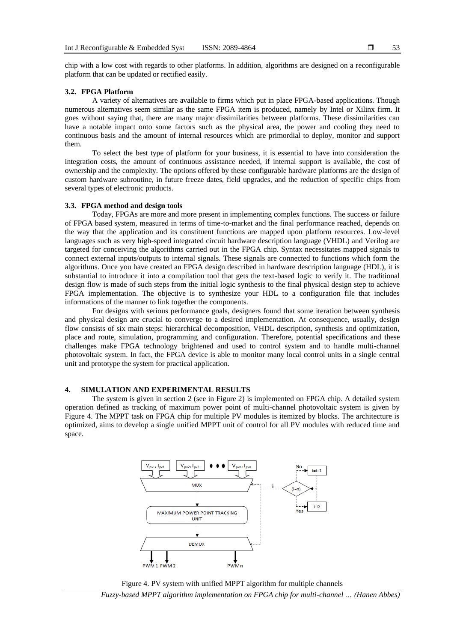chip with a low cost with regards to other platforms. In addition, algorithms are designed on a reconfigurable platform that can be updated or rectified easily.

#### **3.2. FPGA Platform**

A variety of alternatives are available to firms which put in place FPGA-based applications. Though numerous alternatives seem similar as the same FPGA item is produced, namely by Intel or Xilinx firm. It goes without saying that, there are many major dissimilarities between platforms. These dissimilarities can have a notable impact onto some factors such as the physical area, the power and cooling they need to continuous basis and the amount of internal resources which are primordial to deploy, monitor and support them.

To select the best type of platform for your business, it is essential to have into consideration the integration costs, the amount of continuous assistance needed, if internal support is available, the cost of ownership and the complexity. The options offered by these configurable hardware platforms are the design of custom hardware subroutine, in future freeze dates, field upgrades, and the reduction of specific chips from several types of electronic products.

# **3.3. FPGA method and design tools**

Today, FPGAs are more and more present in implementing complex functions. The success or failure of FPGA based system, measured in terms of time-to-market and the final performance reached, depends on the way that the application and its constituent functions are mapped upon platform resources. Low-level languages such as very high-speed integrated circuit hardware description language (VHDL) and Verilog are targeted for conceiving the algorithms carried out in the FPGA chip. Syntax necessitates mapped signals to connect external inputs/outputs to internal signals. These signals are connected to functions which form the algorithms. Once you have created an FPGA design described in hardware description language (HDL), it is substantial to introduce it into a compilation tool that gets the text-based logic to verify it. The traditional design flow is made of such steps from the initial logic synthesis to the final physical design step to achieve FPGA implementation. The objective is to synthesize your HDL to a configuration file that includes informations of the manner to link together the components.

For designs with serious performance goals, designers found that some iteration between synthesis and physical design are crucial to converge to a desired implementation. At consequence, usually, design flow consists of six main steps: hierarchical decomposition, VHDL description, synthesis and optimization, place and route, simulation, programming and configuration. Therefore, potential specifications and these challenges make FPGA technology brightened and used to control system and to handle multi-channel photovoltaic system. In fact, the FPGA device is able to monitor many local control units in a single central unit and prototype the system for practical application.

## **4. SIMULATION AND EXPERIMENTAL RESULTS**

The system is given in section 2 (see in Figure 2) is implemented on FPGA chip. A detailed system operation defined as tracking of maximum power point of multi-channel photovoltaic system is given by Figure 4. The MPPT task on FPGA chip for multiple PV modules is itemized by blocks. The architecture is optimized, aims to develop a single unified MPPT unit of control for all PV modules with reduced time and space.





*Fuzzy-based MPPT algorithm implementation on FPGA chip for multi-channel … (Hanen Abbes)*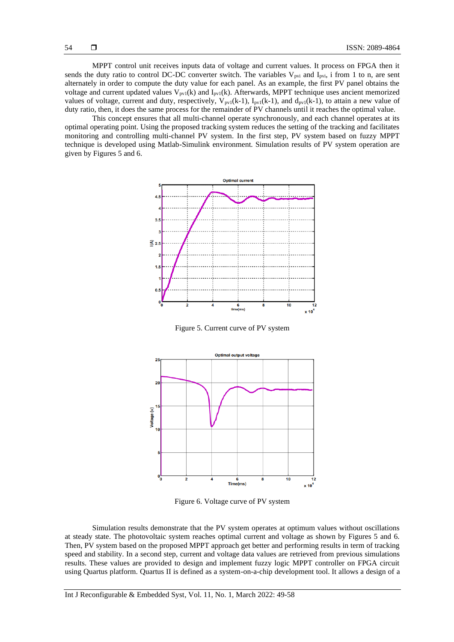MPPT control unit receives inputs data of voltage and current values. It process on FPGA then it sends the duty ratio to control DC-DC converter switch. The variables  $V_{\text{pvi}}$  and  $I_{\text{pvi}}$ , i from 1 to n, are sent alternately in order to compute the duty value for each panel. As an example, the first PV panel obtains the voltage and current updated values  $V_{pv1}(k)$  and  $I_{pv1}(k)$ . Afterwards, MPPT technique uses ancient memorized values of voltage, current and duty, respectively,  $V_{pv1}(k-1)$ ,  $I_{pv1}(k-1)$ , and  $d_{pv1}(k-1)$ , to attain a new value of duty ratio, then, it does the same process for the remainder of PV channels until it reaches the optimal value.

This concept ensures that all multi-channel operate synchronously, and each channel operates at its optimal operating point. Using the proposed tracking system reduces the setting of the tracking and facilitates monitoring and controlling multi-channel PV system. In the first step, PV system based on fuzzy MPPT technique is developed using Matlab-Simulink environment. Simulation results of PV system operation are given by Figures 5 and 6.



Figure 5. Current curve of PV system



Figure 6. Voltage curve of PV system

Simulation results demonstrate that the PV system operates at optimum values without oscillations at steady state. The photovoltaic system reaches optimal current and voltage as shown by Figures 5 and 6. Then, PV system based on the proposed MPPT approach get better and performing results in term of tracking speed and stability. In a second step, current and voltage data values are retrieved from previous simulations results. These values are provided to design and implement fuzzy logic MPPT controller on FPGA circuit using Quartus platform. Quartus II is defined as a system-on-a-chip development tool. It allows a design of a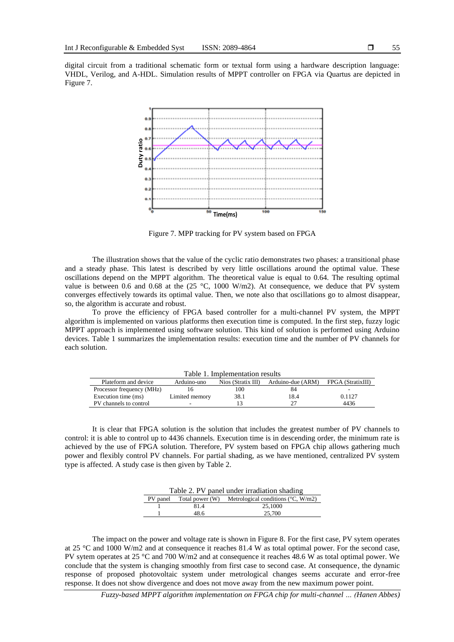digital circuit from a traditional schematic form or textual form using a hardware description language: VHDL, Verilog, and A-HDL. Simulation results of MPPT controller on FPGA via Quartus are depicted in Figure 7.

![](_page_6_Figure_2.jpeg)

Figure 7. MPP tracking for PV system based on FPGA

The illustration shows that the value of the cyclic ratio demonstrates two phases: a transitional phase and a steady phase. This latest is described by very little oscillations around the optimal value. These oscillations depend on the MPPT algorithm. The theoretical value is equal to 0.64. The resulting optimal value is between 0.6 and 0.68 at the (25 °C, 1000 W/m2). At consequence, we deduce that PV system converges effectively towards its optimal value. Then, we note also that oscillations go to almost disappear, so, the algorithm is accurate and robust.

To prove the efficiency of FPGA based controller for a multi-channel PV system, the MPPT algorithm is implemented on various platforms then execution time is computed. In the first step, fuzzy logic MPPT approach is implemented using software solution. This kind of solution is performed using Arduino devices. Table 1 summarizes the implementation results: execution time and the number of PV channels for each solution.

| Table 1. Implementation results |                |                      |                   |                   |  |
|---------------------------------|----------------|----------------------|-------------------|-------------------|--|
| Plateform and device            | Arduino-uno    | $Nios$ (Stratix III) | Arduino-due (ARM) | FPGA (StratixIII) |  |
| Processor frequency (MHz)       | ١h             | 100                  | 84                | ۰                 |  |
| Execution time (ms)             | Limited memory | 38.1                 | 18.4              | 0.1127            |  |
| PV channels to control          |                |                      |                   | 4436              |  |

It is clear that FPGA solution is the solution that includes the greatest number of PV channels to control: it is able to control up to 4436 channels. Execution time is in descending order, the minimum rate is achieved by the use of FPGA solution. Therefore, PV system based on FPGA chip allows gathering much power and flexibly control PV channels. For partial shading, as we have mentioned, centralized PV system type is affected. A study case is then given by Table 2.

| Table 2. PV panel under irradiation shading |                          |                                              |  |
|---------------------------------------------|--------------------------|----------------------------------------------|--|
|                                             | PV panel Total power (W) | Metrological conditions ( $\degree$ C, W/m2) |  |
|                                             | 81.4                     | 25,1000                                      |  |
|                                             | 48.6                     | 25,700                                       |  |

The impact on the power and voltage rate is shown in Figure 8. For the first case, PV sytem operates at 25 °C and 1000 W/m2 and at consequence it reaches 81.4 W as total optimal power. For the second case, PV sytem operates at 25 °C and 700 W/m2 and at consequence it reaches 48.6 W as total optimal power. We conclude that the system is changing smoothly from first case to second case. At consequence, the dynamic response of proposed photovoltaic system under metrological changes seems accurate and error-free response. It does not show divergence and does not move away from the new maximum power point.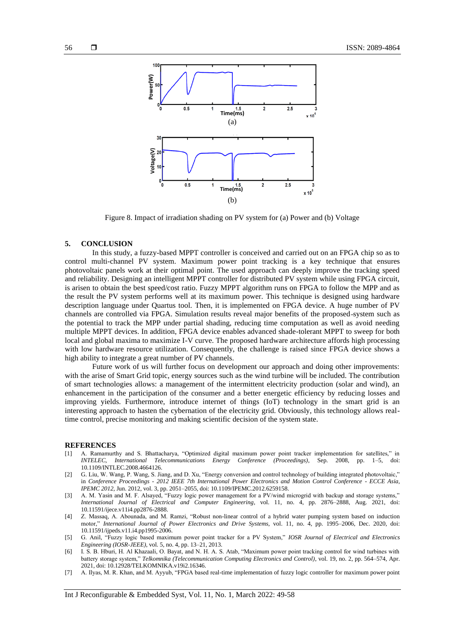![](_page_7_Figure_2.jpeg)

Figure 8. Impact of irradiation shading on PV system for (a) Power and (b) Voltage

#### **5. CONCLUSION**

In this study, a fuzzy-based MPPT controller is conceived and carried out on an FPGA chip so as to control multi-channel PV system. Maximum power point tracking is a key technique that ensures photovoltaic panels work at their optimal point. The used approach can deeply improve the tracking speed and reliability. Designing an intelligent MPPT controller for distributed PV system while using FPGA circuit, is arisen to obtain the best speed/cost ratio. Fuzzy MPPT algorithm runs on FPGA to follow the MPP and as the result the PV system performs well at its maximum power. This technique is designed using hardware description language under Quartus tool. Then, it is implemented on FPGA device. A huge number of PV channels are controlled via FPGA. Simulation results reveal major benefits of the proposed system such as the potential to track the MPP under partial shading, reducing time computation as well as avoid needing multiple MPPT devices. In addition, FPGA device enables advanced shade-tolerant MPPT to sweep for both local and global maxima to maximize I-V curve. The proposed hardware architecture affords high processing with low hardware resource utilization. Consequently, the challenge is raised since FPGA device shows a high ability to integrate a great number of PV channels.

Future work of us will further focus on development our approach and doing other improvements: with the arise of Smart Grid topic, energy sources such as the wind turbine will be included. The contribution of smart technologies allows: a management of the intermittent electricity production (solar and wind), an enhancement in the participation of the consumer and a better energetic efficiency by reducing losses and improving yields. Furthermore, introduce internet of things (IoT) technology in the smart grid is an interesting approach to hasten the cybernation of the electricity grid. Obviously, this technology allows realtime control, precise monitoring and making scientific decision of the system state.

#### **REFERENCES**

- [1] A. Ramamurthy and S. Bhattacharya, "Optimized digital maximum power point tracker implementation for satellites," in *INTELEC, International Telecommunications Energy Conference (Proceedings)*, Sep. 2008, pp. 1–5, doi: 10.1109/INTLEC.2008.4664126.
- [2] G. Liu, W. Wang, P. Wang, S. Jiang, and D. Xu, "Energy conversion and control technology of building integrated photovoltaic," in *Conference Proceedings - 2012 IEEE 7th International Power Electronics and Motion Control Conference - ECCE Asia, IPEMC 2012*, Jun. 2012, vol. 3, pp. 2051–2055, doi: 10.1109/IPEMC.2012.6259158.
- [3] A. M. Yasin and M. F. Alsayed, "Fuzzy logic power management for a PV/wind microgrid with backup and storage systems," *International Journal of Electrical and Computer Engineering*, vol. 11, no. 4, pp. 2876–2888, Aug. 2021, doi: 10.11591/ijece.v11i4.pp2876-2888.
- [4] Z. Massaq, A. Abounada, and M. Ramzi, "Robust non-linear control of a hybrid water pumping system based on induction motor," *International Journal of Power Electronics and Drive Systems*, vol. 11, no. 4, pp. 1995–2006, Dec. 2020, doi: 10.11591/ijpeds.v11.i4.pp1995-2006.
- [5] G. Anil, "Fuzzy logic based maximum power point tracker for a PV System," *IOSR Journal of Electrical and Electronics Engineering (IOSR-JEEE)*, vol. 5, no. 4, pp. 13–21, 2013.
- [6] I. S. B. Hburi, H. Al Khazaali, O. Bayat, and N. H. A. S. Atab, "Maximum power point tracking control for wind turbines with battery storage system," *Telkomnika (Telecommunication Computing Electronics and Control)*, vol. 19, no. 2, pp. 564–574, Apr. 2021, doi: 10.12928/TELKOMNIKA.v19i2.16346.
- [7] A. Ilyas, M. R. Khan, and M. Ayyub, "FPGA based real-time implementation of fuzzy logic controller for maximum power point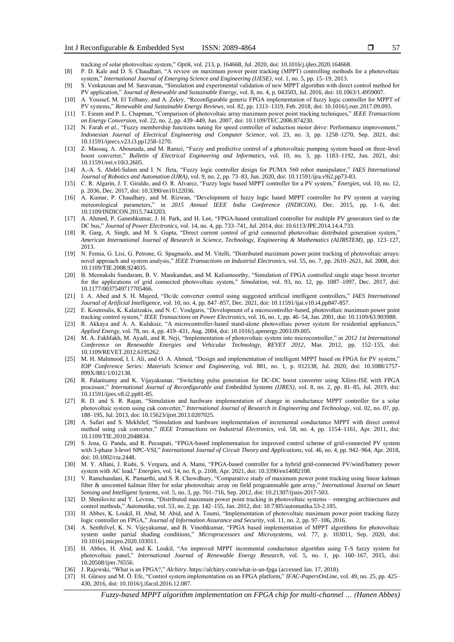tracking of solar photovoltaic system," *Optik*, vol. 213, p. 164668, Jul. 2020, doi: 10.1016/j.ijleo.2020.164668.

- [8] P. D. Kale and D. S. Chaudhari, "A review on maximum power point tracking (MPPT) controlling methods for a photovoltaic system," *International Journal of Emerging Science and Engineering (IJESE)*, vol. 1, no. 5, pp. 15–19, 2013.
- [9] S. Venkatesan and M. Saravanan, "Simulation and experimental validation of new MPPT algorithm with direct control method for PV application," *Journal of Renewable and Sustainable Energy*, vol. 8, no. 4, p. 043503, Jul. 2016, doi: 10.1063/1.4959007.
- [10] A. Youssef, M. El Telbany, and A. Zekry, "Reconfigurable generic FPGA implementation of fuzzy logic controller for MPPT of PV systems," *Renewable and Sustainable Energy Reviews*, vol. 82, pp. 1313–1319, Feb. 2018, doi: 10.1016/j.rser.2017.09.093.
- [11] T. Esram and P. L. Chapman, "Comparison of photovoltaic array maximum power point tracking techniques," *IEEE Transactions on Energy Conversion*, vol. 22, no. 2, pp. 439–449, Jun. 2007, doi: 10.1109/TEC.2006.874230.
- [12] N. Farah *et al.*, "Fuzzy membership functions tuning for speed controller of induction motor drive: Performance improvement," *Indonesian Journal of Electrical Engineering and Computer Science*, vol. 23, no. 3, pp. 1258–1270, Sep. 2021, doi: 10.11591/ijeecs.v23.i3.pp1258-1270.
- [13] Z. Massaq, A. Abounada, and M. Ramzi, "Fuzzy and predictive control of a photovoltaic pumping system based on three-level boost converter," *Bulletin of Electrical Engineering and Informatics*, vol. 10, no. 3, pp. 1183–1192, Jun. 2021, doi: 10.11591/eei.v10i3.2605.
- [14] A.-A. S. Abdel-Salam and I. N. Jleta, "Fuzzy logic controller design for PUMA 560 robot manipulator," *IAES International Journal of Robotics and Automation (IJRA)*, vol. 9, no. 2, pp. 73–83, Jun. 2020, doi: 10.11591/ijra.v9i2.pp73-83.
- [15] C. R. Algarín, J. T. Giraldo, and O. R. Álvarez, "Fuzzy logic based MPPT controller for a PV system," *Energies*, vol. 10, no. 12, p. 2036, Dec. 2017, doi: 10.3390/en10122036.
- [16] A. Kumar, P. Chaudhary, and M. Rizwan, "Development of fuzzy logic based MPPT controller for PV system at varying meteorological parameters," in *2015 Annual IEEE India Conference (INDICON)*, Dec. 2015, pp. 1–6, doi: 10.1109/INDICON.2015.7443203.
- [17] A. Ahmed, P. Ganeshkumar, J. H. Park, and H. Lee, "FPGA-based centralized controller for multiple PV generators tied to the DC bus," *Journal of Power Electronics*, vol. 14, no. 4, pp. 733–741, Jul. 2014, doi: 10.6113/JPE.2014.14.4.733.
- [18] R. Garg, A. Singh, and M. S. Gupta, "Direct current control of grid connected photovoltaic distributed generation system," *American International Journal of Research in Science, Technology, Engineering & Mathematics (AIJRSTEM)*, pp. 123–127, 2013.
- [19] N. Femia, G. Lisi, G. Petrone, G. Spagnuolo, and M. Vitelli, "Distributed maximum power point tracking of photovoltaic arrays: novel approach and system analysis," *IEEE Transactions on Industrial Electronics*, vol. 55, no. 7, pp. 2610–2621, Jul. 2008, doi: 10.1109/TIE.2008.924035.
- [20] B. Meenakshi Sundaram, B. V. Manikandan, and M. Kaliamoorthy, "Simulation of FPGA controlled single stage boost inverter for the applications of grid connected photovoltaic system," *Simulation*, vol. 93, no. 12, pp. 1087–1097, Dec. 2017, doi: 10.1177/0037549717705466.
- [21] I. A. Abed and S. H. Majeed, "Dc/dc converter control using suggested artificial intelligent controllers," *IAES International Journal of Artificial Intelligence*, vol. 10, no. 4, pp. 847–857, Dec. 2021, doi: 10.11591/ijai.v10.i4.pp847-857.
- [22] E. Koutroulis, K. Kalaitzakis, and N. C. Voulgaris, "Development of a microcontroller-based, photovoltaic maximum power point tracking control system," *IEEE Transactions on Power Electronics*, vol. 16, no. 1, pp. 46–54, Jan. 2001, doi: 10.1109/63.903988.
- [23] R. Akkaya and A. A. Kulaksiz, "A microcontroller-based stand-alone photovoltaic power system for residential appliances," *Applied Energy*, vol. 78, no. 4, pp. 419–431, Aug. 2004, doi: 10.1016/j.apenergy.2003.09.005.
- [24] M. A. Fakhfakh, M. Ayadi, and R. Neji, "Implementation of photovoltaic system into microcontroller," in *2012 1st International Conference on Renewable Energies and Vehicular Technology, REVET 2012*, Mar. 2012, pp. 152–155, doi: 10.1109/REVET.2012.6195262.
- [25] M. H. Mahmood, I. I. Ali, and O. A. Ahmed, "Design and implementation of intelligent MPPT based on FPGA for PV system," *IOP Conference Series: Materials Science and Engineering*, vol. 881, no. 1, p. 012138, Jul. 2020, doi: 10.1088/1757- 899X/881/1/012138.
- [26] R. Palanisamy and K. Vijayakumar, "Switching pulse generation for DC-DC boost converter using Xilinx-ISE with FPGA processor," *International Journal of Reconfigurable and Embedded Systems (IJRES)*, vol. 8, no. 2, pp. 81–85, Jul. 2019, doi: 10.11591/ijres.v8.i2.pp81-85.
- [27] R. D. and S. R. Rajan, "Simulation and hardware implementation of change in conductance MPPT controller for a solar photovoltaic system using cuk converter," *International Journal of Research in Engineering and Technology*, vol. 02, no. 07, pp. 188–195, Jul. 2013, doi: 10.15623/ijret.2013.0207025.
- [28] A. Safari and S. Mekhilef, "Simulation and hardware implementation of incremental conductance MPPT with direct control method using cuk converter," *IEEE Transactions on Industrial Electronics*, vol. 58, no. 4, pp. 1154–1161, Apr. 2011, doi: 10.1109/TIE.2010.2048834.
- [29] S. Jena, G. Panda, and R. Peesapati, "FPGA-based implementation for improved control scheme of grid-connected PV system with 3-phase 3-level NPC-VSI," *International Journal of Circuit Theory and Applications*, vol. 46, no. 4, pp. 942–964, Apr. 2018, doi: 10.1002/cta.2448.
- [30] M. Y. Allani, J. Riahi, S. Vergura, and A. Mami, "FPGA-based controller for a hybrid grid-connected PV/wind/battery power system with AC load," *Energies*, vol. 14, no. 8, p. 2108, Apr. 2021, doi: 10.3390/en14082108.
- [31] V. Ramchandani, K. Pamarthi, and S. R. Chowdhury, "Comparative study of maximum power point tracking using linear kalman filter & unscented kalman filter for solar photovoltaic array on field programmable gate array," *International Journal on Smart Sensing and Intelligent Systems*, vol. 5, no. 3, pp. 701–716, Sep. 2012, doi: 10.21307/ijssis-2017-503.
- [32] D. Shmilovitz and Y. Levron, "Distributed maximum power point tracking in photovoltaic systems emerging architectures and control methods," *Automatika*, vol. 53, no. 2, pp. 142–155, Jan. 2012, doi: 10.7305/automatika.53-2.185.
- [33] H. Abbes, K. Loukil, H. Abid, M. Abid, and A. Toumi, "Implementation of photovoltaic maximum power point tracking fuzzy logic controller on FPGA," *Journal of Information Assurance and Security*, vol. 11, no. 2, pp. 97–106, 2016.
- [34] A. Senthilvel, K. N. Vijeyakumar, and B. Vinothkumar, "FPGA based implementation of MPPT algorithms for photovoltaic system under partial shading conditions," *Microprocessors and Microsystems*, vol. 77, p. 103011, Sep. 2020, doi: 10.1016/j.micpro.2020.103011.
- [35] H. Abbes, H. Abid, and K. Loukil, "An improved MPPT incremental conductance algorithm using T-S fuzzy system for photovoltaic panel," *International Journal of Renewable Energy Research*, vol. 5, no. 1, pp. 160–167, 2015, doi: 10.20508/ijrer.76556.
- [36] J. Rajewski, "What is an FPGA?," *Alchitry*. https://alchitry.com/what-is-an-fpga (accessed Jan. 17, 2018).
- [37] H. Gürsoy and M. Ö. Efe, "Control system implementation on an FPGA platform," *IFAC-PapersOnLine*, vol. 49, no. 25, pp. 425– 430, 2016, doi: 10.1016/j.ifacol.2016.12.087.